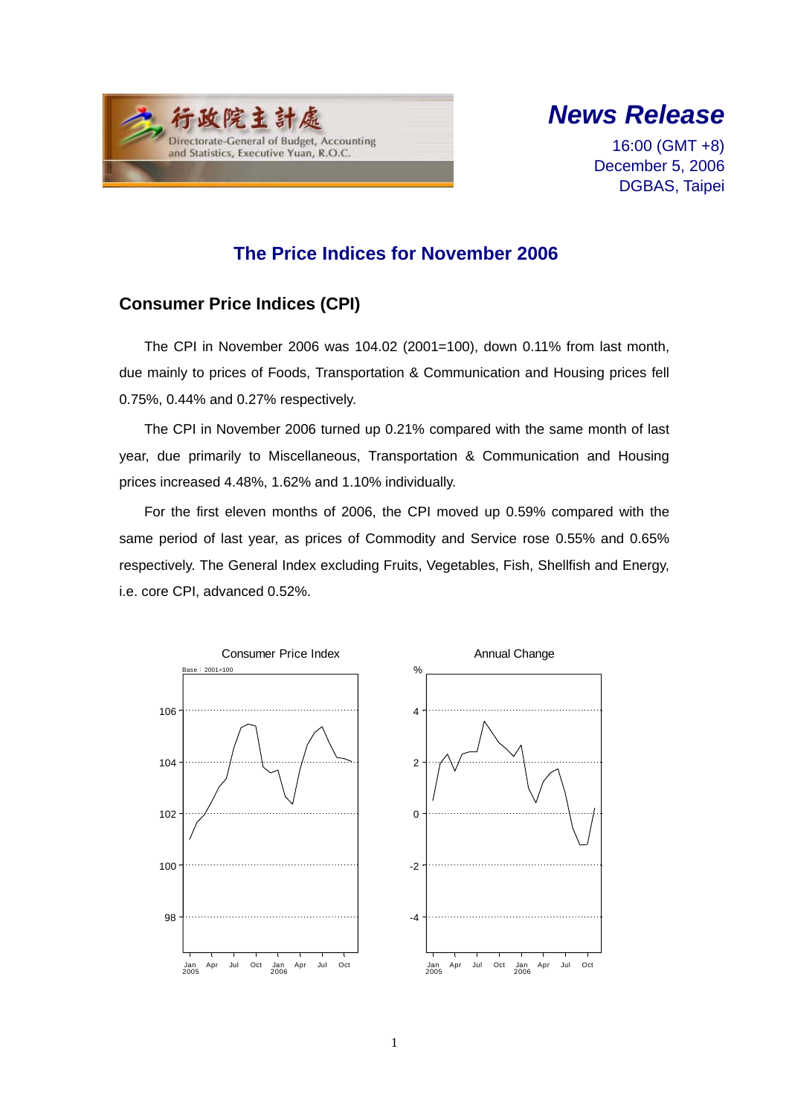



16:00 (GMT +8) December 5, 2006 DGBAS, Taipei

## **The Price Indices for November 2006**

### **Consumer Price Indices (CPI)**

The CPI in November 2006 was 104.02 (2001=100), down 0.11% from last month, due mainly to prices of Foods, Transportation & Communication and Housing prices fell 0.75%, 0.44% and 0.27% respectively.

The CPI in November 2006 turned up 0.21% compared with the same month of last year, due primarily to Miscellaneous, Transportation & Communication and Housing prices increased 4.48%, 1.62% and 1.10% individually.

For the first eleven months of 2006, the CPI moved up 0.59% compared with the same period of last year, as prices of Commodity and Service rose 0.55% and 0.65% respectively. The General Index excluding Fruits, Vegetables, Fish, Shellfish and Energy, i.e. core CPI, advanced 0.52%.



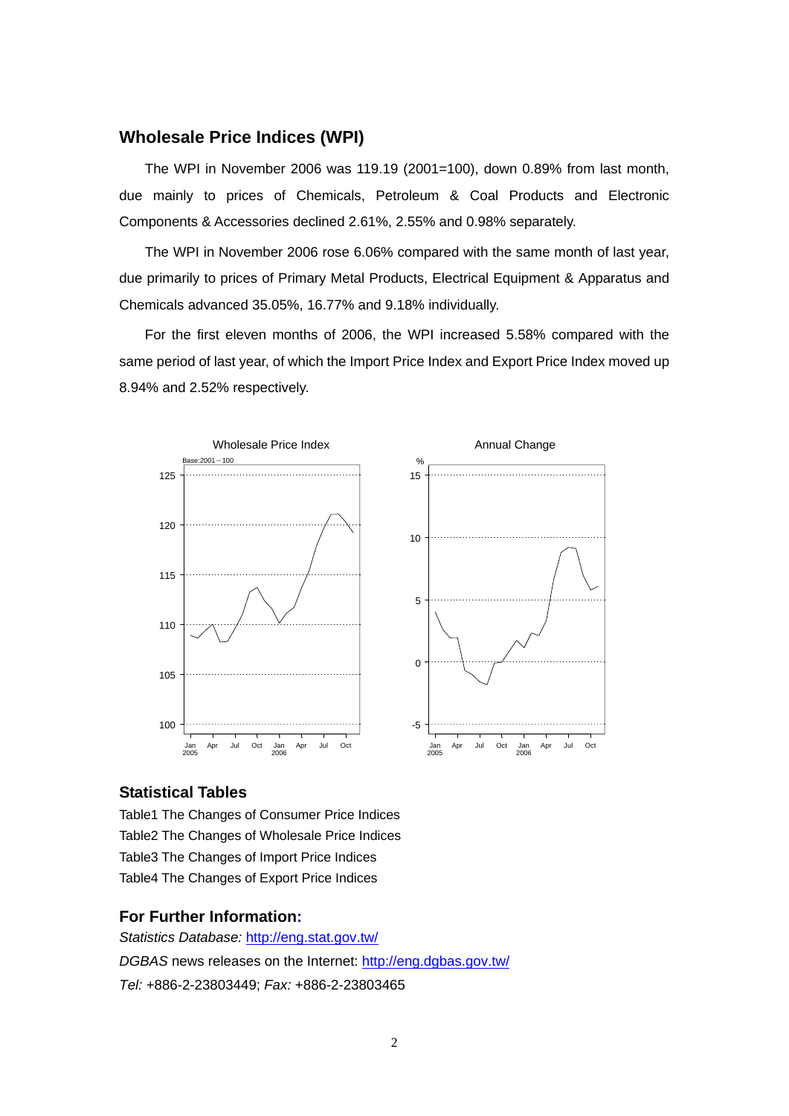#### **Wholesale Price Indices (WPI)**

The WPI in November 2006 was 119.19 (2001=100), down 0.89% from last month, due mainly to prices of Chemicals, Petroleum & Coal Products and Electronic Components & Accessories declined 2.61%, 2.55% and 0.98% separately.

The WPI in November 2006 rose 6.06% compared with the same month of last year, due primarily to prices of Primary Metal Products, Electrical Equipment & Apparatus and Chemicals advanced 35.05%, 16.77% and 9.18% individually.

For the first eleven months of 2006, the WPI increased 5.58% compared with the same period of last year, of which the Import Price Index and Export Price Index moved up 8.94% and 2.52% respectively.



#### **Statistical Tables**

Table1 The Changes of Consumer Price Indices Table2 The Changes of Wholesale Price Indices Table3 The Changes of Import Price Indices Table4 The Changes of Export Price Indices

#### **For Further Information:**

*Statistics Database:* http://eng.stat.gov.tw/ *DGBAS* news releases on the Internet: http://eng.dgbas.gov.tw/ *Tel:* +886-2-23803449; *Fax:* +886-2-23803465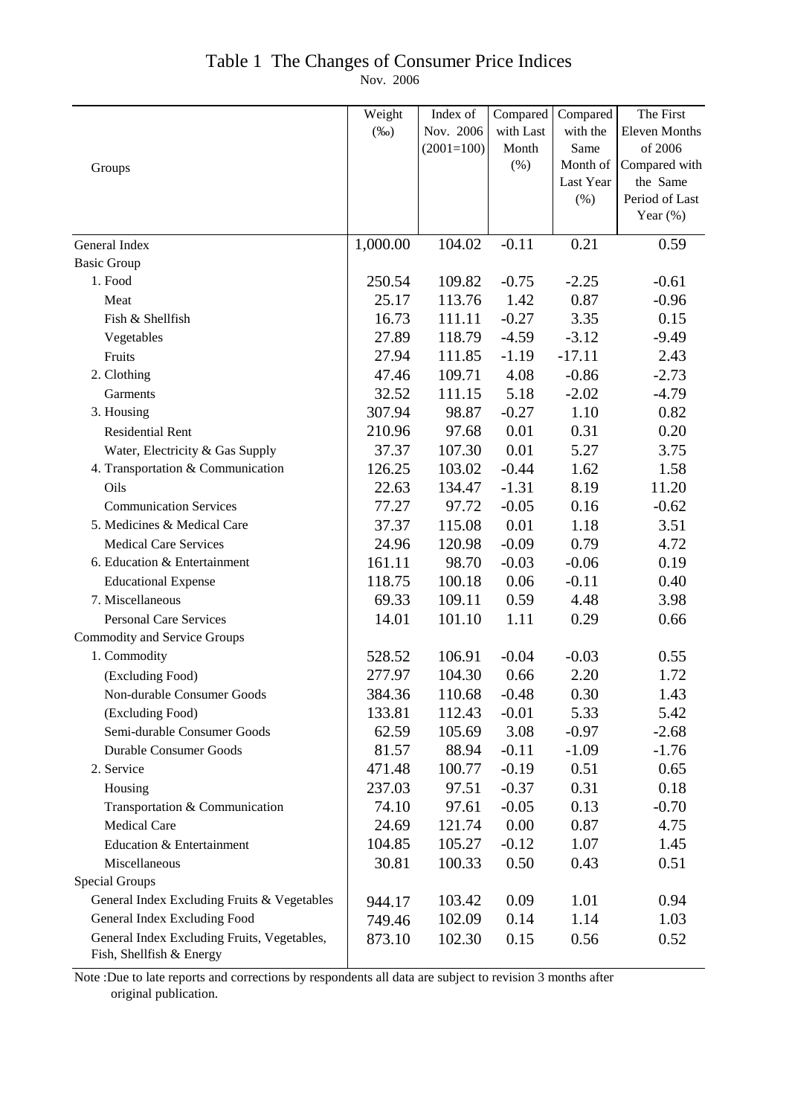### Table 1 The Changes of Consumer Price Indices

Nov. 2006

|                                             | Weight   | Index of     | Compared  | Compared  | The First            |
|---------------------------------------------|----------|--------------|-----------|-----------|----------------------|
|                                             | $(\%0)$  | Nov. 2006    | with Last | with the  | <b>Eleven Months</b> |
|                                             |          | $(2001=100)$ | Month     | Same      | of 2006              |
| Groups                                      |          |              | (%)       | Month of  | Compared with        |
|                                             |          |              |           | Last Year | the Same             |
|                                             |          |              |           | (%)       | Period of Last       |
|                                             |          |              |           |           | Year $(\%)$          |
| General Index                               | 1,000.00 | 104.02       | $-0.11$   | 0.21      | 0.59                 |
| <b>Basic Group</b>                          |          |              |           |           |                      |
| 1. Food                                     | 250.54   | 109.82       | $-0.75$   | $-2.25$   | $-0.61$              |
| Meat                                        | 25.17    | 113.76       | 1.42      | 0.87      | $-0.96$              |
| Fish & Shellfish                            | 16.73    | 111.11       | $-0.27$   | 3.35      | 0.15                 |
| Vegetables                                  | 27.89    | 118.79       | $-4.59$   | $-3.12$   | $-9.49$              |
| Fruits                                      | 27.94    | 111.85       | $-1.19$   | $-17.11$  | 2.43                 |
| 2. Clothing                                 | 47.46    | 109.71       | 4.08      | $-0.86$   | $-2.73$              |
| Garments                                    | 32.52    | 111.15       | 5.18      | $-2.02$   | $-4.79$              |
| 3. Housing                                  | 307.94   | 98.87        | $-0.27$   | 1.10      | 0.82                 |
| <b>Residential Rent</b>                     | 210.96   | 97.68        | 0.01      | 0.31      | 0.20                 |
| Water, Electricity & Gas Supply             | 37.37    | 107.30       | 0.01      | 5.27      | 3.75                 |
| 4. Transportation & Communication           | 126.25   | 103.02       | $-0.44$   | 1.62      | 1.58                 |
| Oils                                        | 22.63    | 134.47       | $-1.31$   | 8.19      | 11.20                |
| <b>Communication Services</b>               | 77.27    | 97.72        | $-0.05$   | 0.16      | $-0.62$              |
| 5. Medicines & Medical Care                 | 37.37    | 115.08       | 0.01      | 1.18      | 3.51                 |
| <b>Medical Care Services</b>                | 24.96    | 120.98       | $-0.09$   | 0.79      | 4.72                 |
| 6. Education & Entertainment                | 161.11   | 98.70        | $-0.03$   | $-0.06$   | 0.19                 |
| <b>Educational Expense</b>                  | 118.75   | 100.18       | 0.06      | $-0.11$   | 0.40                 |
| 7. Miscellaneous                            | 69.33    | 109.11       | 0.59      | 4.48      | 3.98                 |
| <b>Personal Care Services</b>               | 14.01    | 101.10       | 1.11      | 0.29      | 0.66                 |
| <b>Commodity and Service Groups</b>         |          |              |           |           |                      |
| 1. Commodity                                | 528.52   | 106.91       | $-0.04$   | $-0.03$   | 0.55                 |
| (Excluding Food)                            | 277.97   | 104.30       | 0.66      | 2.20      | 1.72                 |
| Non-durable Consumer Goods                  | 384.36   | 110.68       | $-0.48$   | 0.30      | 1.43                 |
| (Excluding Food)                            | 133.81   | 112.43       | $-0.01$   | 5.33      | 5.42                 |
| Semi-durable Consumer Goods                 | 62.59    | 105.69       | 3.08      | $-0.97$   | $-2.68$              |
| <b>Durable Consumer Goods</b>               | 81.57    | 88.94        | $-0.11$   | $-1.09$   | $-1.76$              |
| 2. Service                                  | 471.48   | 100.77       | $-0.19$   | 0.51      | 0.65                 |
| Housing                                     | 237.03   | 97.51        | $-0.37$   | 0.31      | 0.18                 |
| Transportation & Communication              | 74.10    | 97.61        | $-0.05$   | 0.13      | $-0.70$              |
| <b>Medical Care</b>                         | 24.69    | 121.74       | 0.00      | 0.87      | 4.75                 |
| Education & Entertainment                   | 104.85   | 105.27       | $-0.12$   | 1.07      | 1.45                 |
| Miscellaneous                               | 30.81    | 100.33       | 0.50      | 0.43      | 0.51                 |
| <b>Special Groups</b>                       |          |              |           |           |                      |
| General Index Excluding Fruits & Vegetables | 944.17   | 103.42       | 0.09      | 1.01      | 0.94                 |
| General Index Excluding Food                | 749.46   | 102.09       | 0.14      | 1.14      | 1.03                 |
| General Index Excluding Fruits, Vegetables, | 873.10   | 102.30       | 0.15      | 0.56      | 0.52                 |
| Fish, Shellfish & Energy                    |          |              |           |           |                      |

Note :Due to late reports and corrections by respondents all data are subject to revision 3 months after original publication.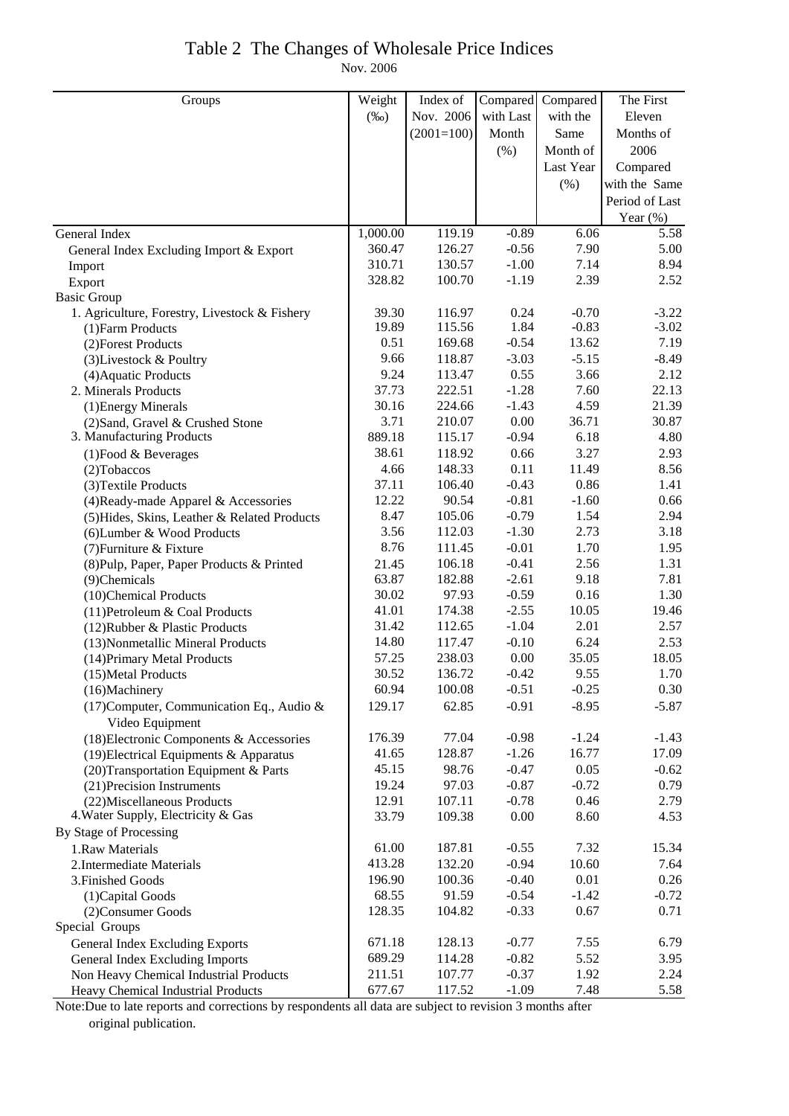# Table 2 The Changes of Wholesale Price Indices

Nov. 2006

| Groups                                                       | Weight   | Index of     | Compared  | Compared  | The First      |
|--------------------------------------------------------------|----------|--------------|-----------|-----------|----------------|
|                                                              | $(\%0)$  | Nov. 2006    | with Last | with the  | Eleven         |
|                                                              |          | $(2001=100)$ | Month     | Same      | Months of      |
|                                                              |          |              | (% )      | Month of  | 2006           |
|                                                              |          |              |           | Last Year | Compared       |
|                                                              |          |              |           | (%)       | with the Same  |
|                                                              |          |              |           |           | Period of Last |
|                                                              |          |              |           |           | Year $(\%)$    |
| General Index                                                | 1,000.00 | 119.19       | $-0.89$   | 6.06      | 5.58           |
| General Index Excluding Import & Export                      | 360.47   | 126.27       | $-0.56$   | 7.90      | 5.00           |
| Import                                                       | 310.71   | 130.57       | $-1.00$   | 7.14      | 8.94           |
| Export                                                       | 328.82   | 100.70       | $-1.19$   | 2.39      | 2.52           |
| <b>Basic Group</b>                                           |          |              |           |           |                |
| 1. Agriculture, Forestry, Livestock & Fishery                | 39.30    | 116.97       | 0.24      | $-0.70$   | $-3.22$        |
| (1) Farm Products                                            | 19.89    | 115.56       | 1.84      | $-0.83$   | $-3.02$        |
| (2) Forest Products                                          | 0.51     | 169.68       | $-0.54$   | 13.62     | 7.19           |
| (3) Livestock & Poultry                                      | 9.66     | 118.87       | $-3.03$   | $-5.15$   | $-8.49$        |
| (4) Aquatic Products                                         | 9.24     | 113.47       | 0.55      | 3.66      | 2.12           |
| 2. Minerals Products                                         | 37.73    | 222.51       | $-1.28$   | 7.60      | 22.13          |
| (1) Energy Minerals                                          | 30.16    | 224.66       | $-1.43$   | 4.59      | 21.39          |
| (2) Sand, Gravel & Crushed Stone                             | 3.71     | 210.07       | 0.00      | 36.71     | 30.87          |
| 3. Manufacturing Products                                    | 889.18   | 115.17       | $-0.94$   | 6.18      | 4.80           |
| $(1)$ Food & Beverages                                       | 38.61    | 118.92       | 0.66      | 3.27      | 2.93           |
| (2) Tobaccos                                                 | 4.66     | 148.33       | 0.11      | 11.49     | 8.56           |
| (3) Textile Products                                         | 37.11    | 106.40       | $-0.43$   | 0.86      | 1.41           |
| (4) Ready-made Apparel & Accessories                         | 12.22    | 90.54        | $-0.81$   | $-1.60$   | 0.66           |
| (5) Hides, Skins, Leather & Related Products                 | 8.47     | 105.06       | $-0.79$   | 1.54      | 2.94           |
| (6) Lumber & Wood Products                                   | 3.56     | 112.03       | $-1.30$   | 2.73      | 3.18           |
| (7) Furniture & Fixture                                      | 8.76     | 111.45       | $-0.01$   | 1.70      | 1.95           |
| (8) Pulp, Paper, Paper Products & Printed                    | 21.45    | 106.18       | $-0.41$   | 2.56      | 1.31           |
| (9)Chemicals                                                 | 63.87    | 182.88       | $-2.61$   | 9.18      | 7.81           |
| (10)Chemical Products                                        | 30.02    | 97.93        | $-0.59$   | 0.16      | 1.30           |
| (11) Petroleum & Coal Products                               | 41.01    | 174.38       | $-2.55$   | 10.05     | 19.46          |
| (12) Rubber & Plastic Products                               | 31.42    | 112.65       | $-1.04$   | 2.01      | 2.57           |
| (13) Nonmetallic Mineral Products                            | 14.80    | 117.47       | $-0.10$   | 6.24      | 2.53           |
| (14) Primary Metal Products                                  | 57.25    | 238.03       | 0.00      | 35.05     | 18.05          |
| (15) Metal Products                                          | 30.52    | 136.72       | $-0.42$   | 9.55      | 1.70           |
| (16)Machinery                                                | 60.94    | 100.08       | $-0.51$   | $-0.25$   | 0.30           |
| (17) Computer, Communication Eq., Audio &<br>Video Equipment | 129.17   | 62.85        | $-0.91$   | $-8.95$   | $-5.87$        |
| (18) Electronic Components & Accessories                     | 176.39   | 77.04        | $-0.98$   | $-1.24$   | $-1.43$        |
| (19) Electrical Equipments & Apparatus                       | 41.65    | 128.87       | $-1.26$   | 16.77     | 17.09          |
| (20) Transportation Equipment & Parts                        | 45.15    | 98.76        | $-0.47$   | 0.05      | $-0.62$        |
| (21) Precision Instruments                                   | 19.24    | 97.03        | $-0.87$   | $-0.72$   | 0.79           |
| (22) Miscellaneous Products                                  | 12.91    | 107.11       | $-0.78$   | 0.46      | 2.79           |
| 4. Water Supply, Electricity & Gas                           | 33.79    | 109.38       | 0.00      | 8.60      | 4.53           |
| By Stage of Processing                                       |          |              |           |           |                |
| 1.Raw Materials                                              | 61.00    | 187.81       | $-0.55$   | 7.32      | 15.34          |
| 2. Intermediate Materials                                    | 413.28   | 132.20       | $-0.94$   | 10.60     | 7.64           |
| 3. Finished Goods                                            | 196.90   | 100.36       | $-0.40$   | 0.01      | 0.26           |
| (1) Capital Goods                                            | 68.55    | 91.59        | $-0.54$   | $-1.42$   | $-0.72$        |
| (2) Consumer Goods                                           | 128.35   | 104.82       | $-0.33$   | 0.67      | 0.71           |
| Special Groups                                               |          |              |           |           |                |
| <b>General Index Excluding Exports</b>                       | 671.18   | 128.13       | $-0.77$   | 7.55      | 6.79           |
| General Index Excluding Imports                              | 689.29   | 114.28       | $-0.82$   | 5.52      | 3.95           |
| Non Heavy Chemical Industrial Products                       | 211.51   | 107.77       | $-0.37$   | 1.92      | 2.24           |
| Heavy Chemical Industrial Products                           | 677.67   | 117.52       | $-1.09$   | 7.48      | 5.58           |

Note:Due to late reports and corrections by respondents all data are subject to revision 3 months after original publication.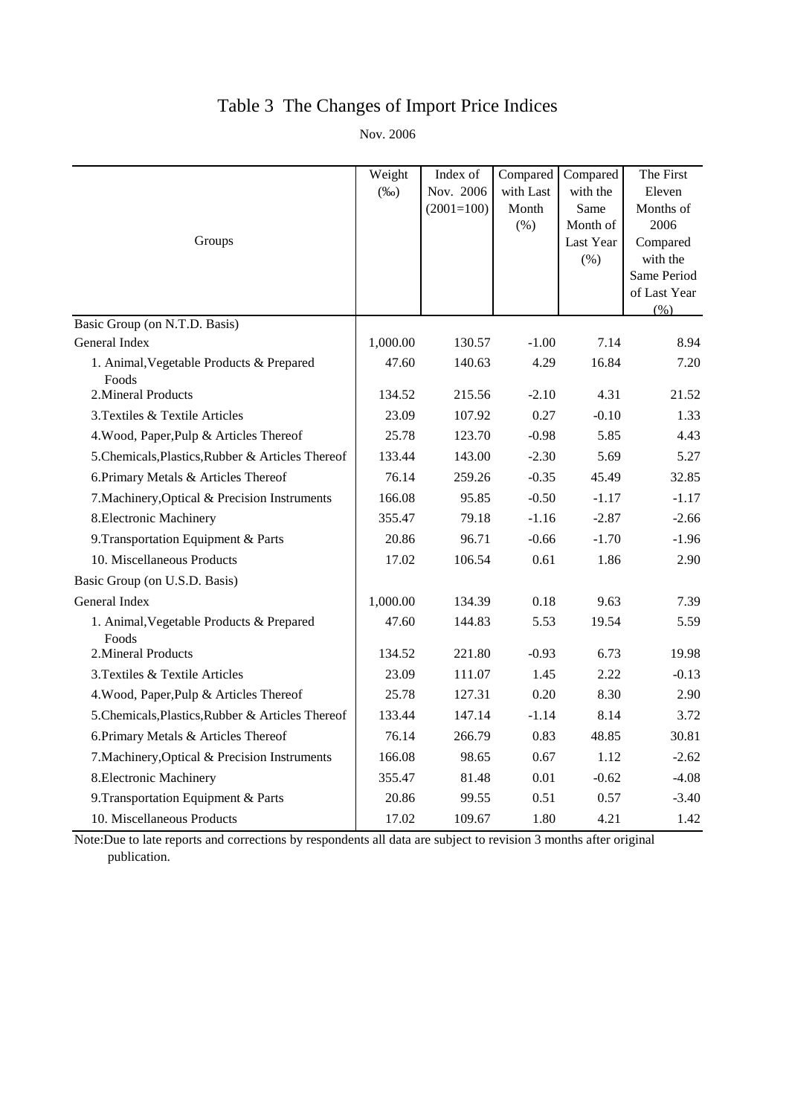# Table 3 The Changes of Import Price Indices

Nov. 2006

|                                                   | Weight   | Index of     | Compared  | Compared  | The First               |
|---------------------------------------------------|----------|--------------|-----------|-----------|-------------------------|
|                                                   | $(\%0)$  | Nov. 2006    | with Last | with the  | Eleven                  |
|                                                   |          | $(2001=100)$ | Month     | Same      | Months of               |
|                                                   |          |              | (% )      | Month of  | 2006                    |
| Groups                                            |          |              |           | Last Year | Compared                |
|                                                   |          |              |           | $(\% )$   | with the<br>Same Period |
|                                                   |          |              |           |           | of Last Year            |
|                                                   |          |              |           |           | (% )                    |
| Basic Group (on N.T.D. Basis)                     |          |              |           |           |                         |
| General Index                                     | 1,000.00 | 130.57       | $-1.00$   | 7.14      | 8.94                    |
| 1. Animal, Vegetable Products & Prepared<br>Foods | 47.60    | 140.63       | 4.29      | 16.84     | 7.20                    |
| 2. Mineral Products                               | 134.52   | 215.56       | $-2.10$   | 4.31      | 21.52                   |
| 3. Textiles & Textile Articles                    | 23.09    | 107.92       | 0.27      | $-0.10$   | 1.33                    |
| 4. Wood, Paper, Pulp & Articles Thereof           | 25.78    | 123.70       | $-0.98$   | 5.85      | 4.43                    |
| 5. Chemicals, Plastics, Rubber & Articles Thereof | 133.44   | 143.00       | $-2.30$   | 5.69      | 5.27                    |
| 6. Primary Metals & Articles Thereof              | 76.14    | 259.26       | $-0.35$   | 45.49     | 32.85                   |
| 7. Machinery, Optical & Precision Instruments     | 166.08   | 95.85        | $-0.50$   | $-1.17$   | $-1.17$                 |
| 8. Electronic Machinery                           | 355.47   | 79.18        | $-1.16$   | $-2.87$   | $-2.66$                 |
| 9. Transportation Equipment & Parts               | 20.86    | 96.71        | $-0.66$   | $-1.70$   | $-1.96$                 |
| 10. Miscellaneous Products                        | 17.02    | 106.54       | 0.61      | 1.86      | 2.90                    |
| Basic Group (on U.S.D. Basis)                     |          |              |           |           |                         |
| General Index                                     | 1,000.00 | 134.39       | 0.18      | 9.63      | 7.39                    |
| 1. Animal, Vegetable Products & Prepared<br>Foods | 47.60    | 144.83       | 5.53      | 19.54     | 5.59                    |
| 2. Mineral Products                               | 134.52   | 221.80       | $-0.93$   | 6.73      | 19.98                   |
| 3. Textiles & Textile Articles                    | 23.09    | 111.07       | 1.45      | 2.22      | $-0.13$                 |
| 4. Wood, Paper, Pulp & Articles Thereof           | 25.78    | 127.31       | 0.20      | 8.30      | 2.90                    |
| 5. Chemicals, Plastics, Rubber & Articles Thereof | 133.44   | 147.14       | $-1.14$   | 8.14      | 3.72                    |
| 6. Primary Metals & Articles Thereof              | 76.14    | 266.79       | 0.83      | 48.85     | 30.81                   |
| 7. Machinery, Optical & Precision Instruments     | 166.08   | 98.65        | 0.67      | 1.12      | $-2.62$                 |
| 8. Electronic Machinery                           | 355.47   | 81.48        | 0.01      | $-0.62$   | $-4.08$                 |
| 9. Transportation Equipment & Parts               | 20.86    | 99.55        | 0.51      | 0.57      | $-3.40$                 |
| 10. Miscellaneous Products                        | 17.02    | 109.67       | 1.80      | 4.21      | 1.42                    |

Note:Due to late reports and corrections by respondents all data are subject to revision 3 months after original publication.